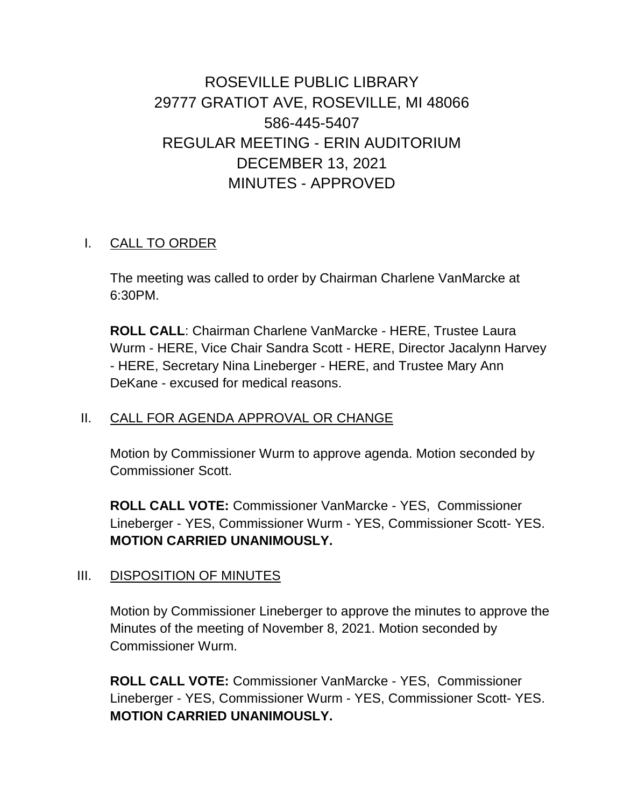ROSEVILLE PUBLIC LIBRARY 29777 GRATIOT AVE, ROSEVILLE, MI 48066 586-445-5407 REGULAR MEETING - ERIN AUDITORIUM DECEMBER 13, 2021 MINUTES - APPROVED

## I. CALL TO ORDER

The meeting was called to order by Chairman Charlene VanMarcke at 6:30PM.

**ROLL CALL**: Chairman Charlene VanMarcke - HERE, Trustee Laura Wurm - HERE, Vice Chair Sandra Scott - HERE, Director Jacalynn Harvey - HERE, Secretary Nina Lineberger - HERE, and Trustee Mary Ann DeKane - excused for medical reasons.

#### II. CALL FOR AGENDA APPROVAL OR CHANGE

Motion by Commissioner Wurm to approve agenda. Motion seconded by Commissioner Scott.

**ROLL CALL VOTE:** Commissioner VanMarcke - YES, Commissioner Lineberger - YES, Commissioner Wurm - YES, Commissioner Scott- YES. **MOTION CARRIED UNANIMOUSLY.**

#### III. DISPOSITION OF MINUTES

Motion by Commissioner Lineberger to approve the minutes to approve the Minutes of the meeting of November 8, 2021. Motion seconded by Commissioner Wurm.

**ROLL CALL VOTE:** Commissioner VanMarcke - YES, Commissioner Lineberger - YES, Commissioner Wurm - YES, Commissioner Scott- YES. **MOTION CARRIED UNANIMOUSLY.**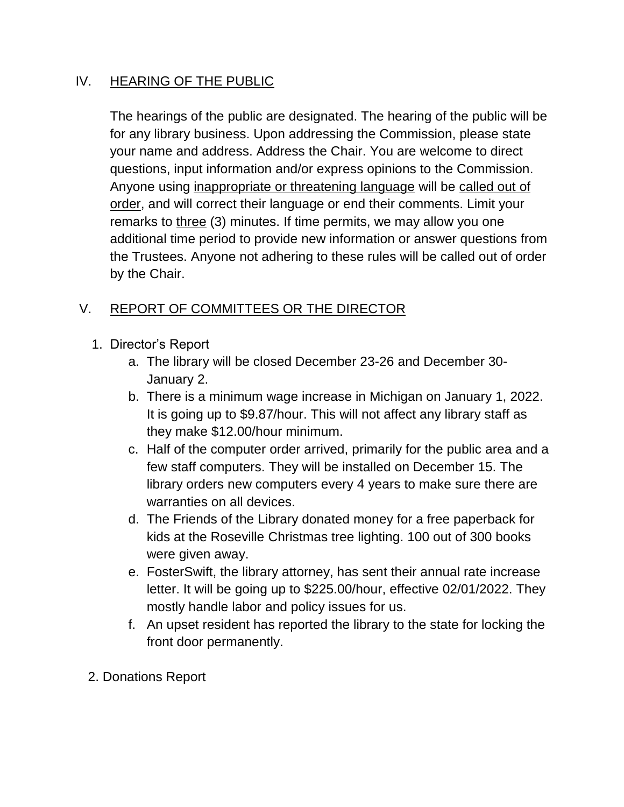#### IV. HEARING OF THE PUBLIC

The hearings of the public are designated. The hearing of the public will be for any library business. Upon addressing the Commission, please state your name and address. Address the Chair. You are welcome to direct questions, input information and/or express opinions to the Commission. Anyone using inappropriate or threatening language will be called out of order, and will correct their language or end their comments. Limit your remarks to three (3) minutes. If time permits, we may allow you one additional time period to provide new information or answer questions from the Trustees. Anyone not adhering to these rules will be called out of order by the Chair.

# V. REPORT OF COMMITTEES OR THE DIRECTOR

- 1. Director's Report
	- a. The library will be closed December 23-26 and December 30- January 2.
	- b. There is a minimum wage increase in Michigan on January 1, 2022. It is going up to \$9.87/hour. This will not affect any library staff as they make \$12.00/hour minimum.
	- c. Half of the computer order arrived, primarily for the public area and a few staff computers. They will be installed on December 15. The library orders new computers every 4 years to make sure there are warranties on all devices.
	- d. The Friends of the Library donated money for a free paperback for kids at the Roseville Christmas tree lighting. 100 out of 300 books were given away.
	- e. FosterSwift, the library attorney, has sent their annual rate increase letter. It will be going up to \$225.00/hour, effective 02/01/2022. They mostly handle labor and policy issues for us.
	- f. An upset resident has reported the library to the state for locking the front door permanently.
- 2. Donations Report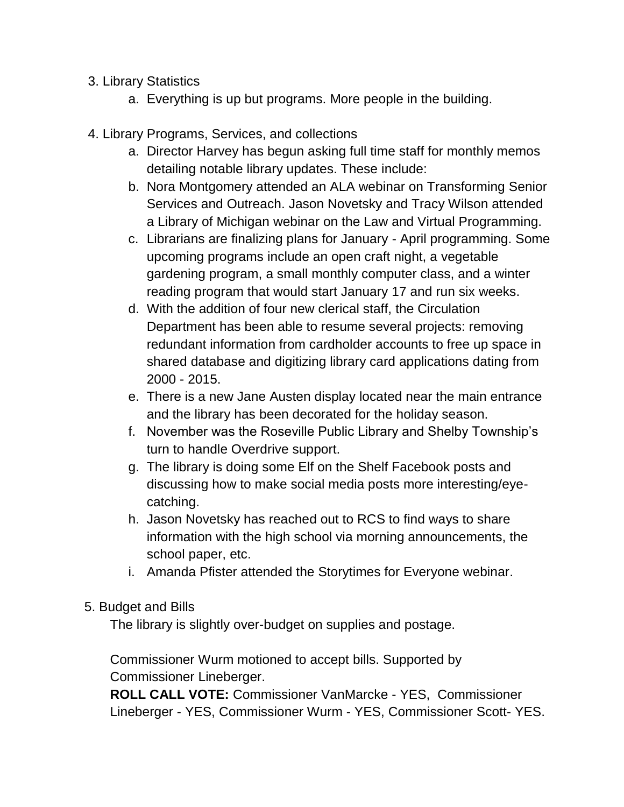- 3. Library Statistics
	- a. Everything is up but programs. More people in the building.
- 4. Library Programs, Services, and collections
	- a. Director Harvey has begun asking full time staff for monthly memos detailing notable library updates. These include:
	- b. Nora Montgomery attended an ALA webinar on Transforming Senior Services and Outreach. Jason Novetsky and Tracy Wilson attended a Library of Michigan webinar on the Law and Virtual Programming.
	- c. Librarians are finalizing plans for January April programming. Some upcoming programs include an open craft night, a vegetable gardening program, a small monthly computer class, and a winter reading program that would start January 17 and run six weeks.
	- d. With the addition of four new clerical staff, the Circulation Department has been able to resume several projects: removing redundant information from cardholder accounts to free up space in shared database and digitizing library card applications dating from 2000 - 2015.
	- e. There is a new Jane Austen display located near the main entrance and the library has been decorated for the holiday season.
	- f. November was the Roseville Public Library and Shelby Township's turn to handle Overdrive support.
	- g. The library is doing some Elf on the Shelf Facebook posts and discussing how to make social media posts more interesting/eyecatching.
	- h. Jason Novetsky has reached out to RCS to find ways to share information with the high school via morning announcements, the school paper, etc.
	- i. Amanda Pfister attended the Storytimes for Everyone webinar.
- 5. Budget and Bills

The library is slightly over-budget on supplies and postage.

Commissioner Wurm motioned to accept bills. Supported by Commissioner Lineberger.

**ROLL CALL VOTE:** Commissioner VanMarcke - YES, Commissioner Lineberger - YES, Commissioner Wurm - YES, Commissioner Scott- YES.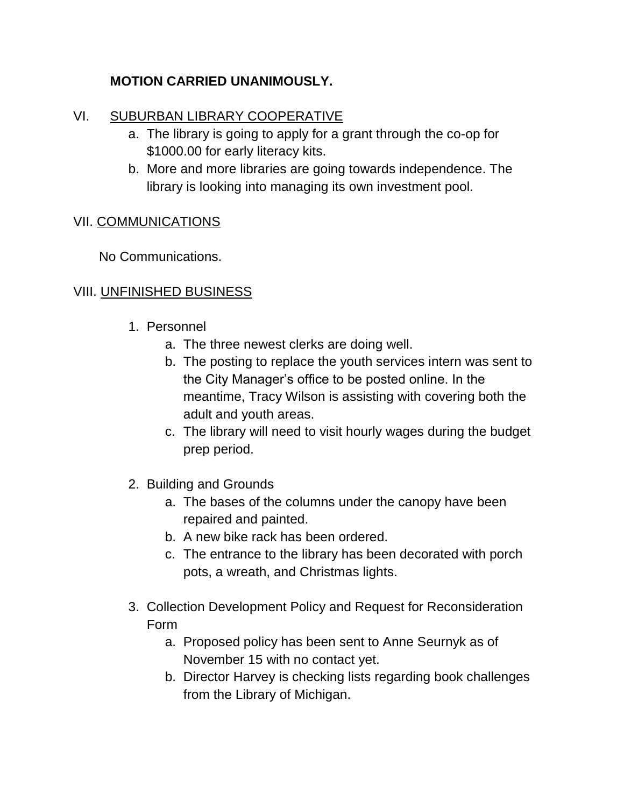## **MOTION CARRIED UNANIMOUSLY.**

#### VI. SUBURBAN LIBRARY COOPERATIVE

- a. The library is going to apply for a grant through the co-op for \$1000.00 for early literacy kits.
- b. More and more libraries are going towards independence. The library is looking into managing its own investment pool.

#### VII. COMMUNICATIONS

No Communications.

### VIII. UNFINISHED BUSINESS

- 1. Personnel
	- a. The three newest clerks are doing well.
	- b. The posting to replace the youth services intern was sent to the City Manager's office to be posted online. In the meantime, Tracy Wilson is assisting with covering both the adult and youth areas.
	- c. The library will need to visit hourly wages during the budget prep period.
- 2. Building and Grounds
	- a. The bases of the columns under the canopy have been repaired and painted.
	- b. A new bike rack has been ordered.
	- c. The entrance to the library has been decorated with porch pots, a wreath, and Christmas lights.
- 3. Collection Development Policy and Request for Reconsideration Form
	- a. Proposed policy has been sent to Anne Seurnyk as of November 15 with no contact yet.
	- b. Director Harvey is checking lists regarding book challenges from the Library of Michigan.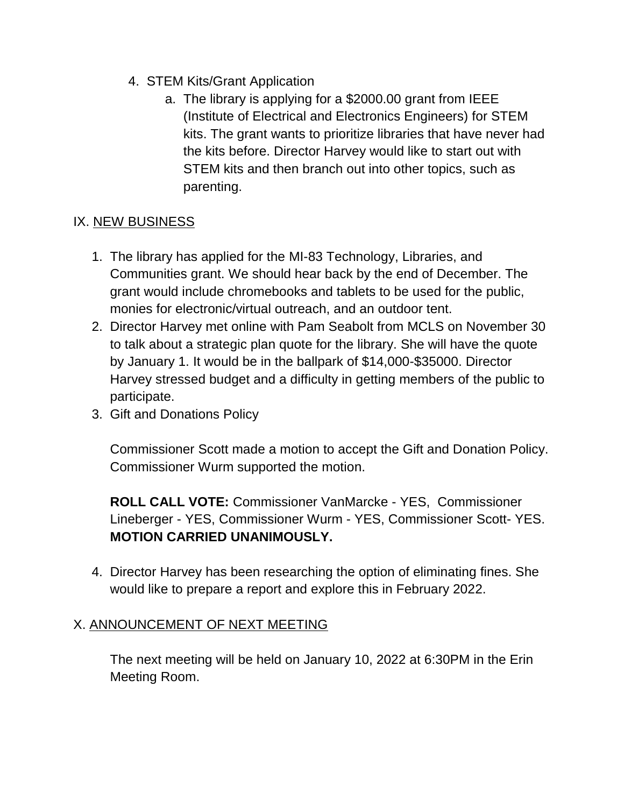- 4. STEM Kits/Grant Application
	- a. The library is applying for a \$2000.00 grant from IEEE (Institute of Electrical and Electronics Engineers) for STEM kits. The grant wants to prioritize libraries that have never had the kits before. Director Harvey would like to start out with STEM kits and then branch out into other topics, such as parenting.

## IX. NEW BUSINESS

- 1. The library has applied for the MI-83 Technology, Libraries, and Communities grant. We should hear back by the end of December. The grant would include chromebooks and tablets to be used for the public, monies for electronic/virtual outreach, and an outdoor tent.
- 2. Director Harvey met online with Pam Seabolt from MCLS on November 30 to talk about a strategic plan quote for the library. She will have the quote by January 1. It would be in the ballpark of \$14,000-\$35000. Director Harvey stressed budget and a difficulty in getting members of the public to participate.
- 3. Gift and Donations Policy

Commissioner Scott made a motion to accept the Gift and Donation Policy. Commissioner Wurm supported the motion.

**ROLL CALL VOTE:** Commissioner VanMarcke - YES, Commissioner Lineberger - YES, Commissioner Wurm - YES, Commissioner Scott- YES. **MOTION CARRIED UNANIMOUSLY.**

4. Director Harvey has been researching the option of eliminating fines. She would like to prepare a report and explore this in February 2022.

## X. ANNOUNCEMENT OF NEXT MEETING

The next meeting will be held on January 10, 2022 at 6:30PM in the Erin Meeting Room.